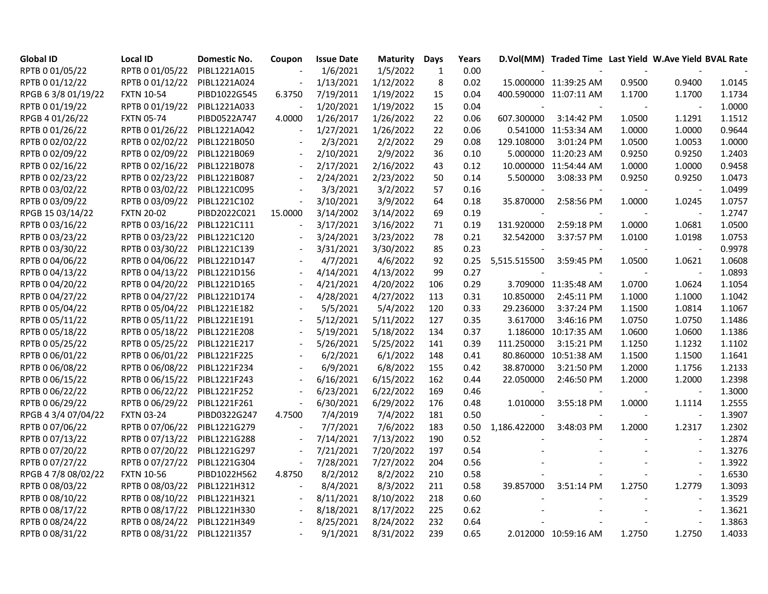| <b>Global ID</b>    | <b>Local ID</b>   | Domestic No. | Coupon         | <b>Issue Date</b> | <b>Maturity</b> | <b>Days</b>  | Years |              | D.Vol(MM) Traded Time Last Yield W.Ave Yield BVAL Rate |        |                          |        |
|---------------------|-------------------|--------------|----------------|-------------------|-----------------|--------------|-------|--------------|--------------------------------------------------------|--------|--------------------------|--------|
| RPTB 0 01/05/22     | RPTB 0 01/05/22   | PIBL1221A015 |                | 1/6/2021          | 1/5/2022        | $\mathbf{1}$ | 0.00  |              |                                                        |        |                          |        |
| RPTB 0 01/12/22     | RPTB 0 01/12/22   | PIBL1221A024 |                | 1/13/2021         | 1/12/2022       | 8            | 0.02  |              | 15.000000 11:39:25 AM                                  | 0.9500 | 0.9400                   | 1.0145 |
| RPGB 6 3/8 01/19/22 | <b>FXTN 10-54</b> | PIBD1022G545 | 6.3750         | 7/19/2011         | 1/19/2022       | 15           | 0.04  |              | 400.590000 11:07:11 AM                                 | 1.1700 | 1.1700                   | 1.1734 |
| RPTB 0 01/19/22     | RPTB 0 01/19/22   | PIBL1221A033 |                | 1/20/2021         | 1/19/2022       | 15           | 0.04  |              |                                                        |        |                          | 1.0000 |
| RPGB 4 01/26/22     | <b>FXTN 05-74</b> | PIBD0522A747 | 4.0000         | 1/26/2017         | 1/26/2022       | 22           | 0.06  | 607.300000   | 3:14:42 PM                                             | 1.0500 | 1.1291                   | 1.1512 |
| RPTB 0 01/26/22     | RPTB 0 01/26/22   | PIBL1221A042 |                | 1/27/2021         | 1/26/2022       | 22           | 0.06  |              | 0.541000 11:53:34 AM                                   | 1.0000 | 1.0000                   | 0.9644 |
| RPTB 0 02/02/22     | RPTB 0 02/02/22   | PIBL1221B050 |                | 2/3/2021          | 2/2/2022        | 29           | 0.08  | 129.108000   | 3:01:24 PM                                             | 1.0500 | 1.0053                   | 1.0000 |
| RPTB 0 02/09/22     | RPTB 0 02/09/22   | PIBL1221B069 |                | 2/10/2021         | 2/9/2022        | 36           | 0.10  |              | 5.000000 11:20:23 AM                                   | 0.9250 | 0.9250                   | 1.2403 |
| RPTB 0 02/16/22     | RPTB 0 02/16/22   | PIBL1221B078 |                | 2/17/2021         | 2/16/2022       | 43           | 0.12  |              | 10.000000 11:54:44 AM                                  | 1.0000 | 1.0000                   | 0.9458 |
| RPTB 0 02/23/22     | RPTB 0 02/23/22   | PIBL1221B087 |                | 2/24/2021         | 2/23/2022       | 50           | 0.14  | 5.500000     | 3:08:33 PM                                             | 0.9250 | 0.9250                   | 1.0473 |
| RPTB 0 03/02/22     | RPTB 0 03/02/22   | PIBL1221C095 |                | 3/3/2021          | 3/2/2022        | 57           | 0.16  |              | $\sim$                                                 |        | $\sim$                   | 1.0499 |
| RPTB 0 03/09/22     | RPTB 0 03/09/22   | PIBL1221C102 |                | 3/10/2021         | 3/9/2022        | 64           | 0.18  | 35.870000    | 2:58:56 PM                                             | 1.0000 | 1.0245                   | 1.0757 |
| RPGB 15 03/14/22    | <b>FXTN 20-02</b> | PIBD2022C021 | 15.0000        | 3/14/2002         | 3/14/2022       | 69           | 0.19  |              | $\sim$                                                 |        | $\overline{\phantom{a}}$ | 1.2747 |
| RPTB 0 03/16/22     | RPTB 0 03/16/22   | PIBL1221C111 |                | 3/17/2021         | 3/16/2022       | 71           | 0.19  | 131.920000   | 2:59:18 PM                                             | 1.0000 | 1.0681                   | 1.0500 |
| RPTB 0 03/23/22     | RPTB 0 03/23/22   | PIBL1221C120 |                | 3/24/2021         | 3/23/2022       | 78           | 0.21  | 32.542000    | 3:37:57 PM                                             | 1.0100 | 1.0198                   | 1.0753 |
| RPTB 0 03/30/22     | RPTB 0 03/30/22   | PIBL1221C139 |                | 3/31/2021         | 3/30/2022       | 85           | 0.23  |              |                                                        |        |                          | 0.9978 |
| RPTB 0 04/06/22     | RPTB 0 04/06/22   | PIBL1221D147 |                | 4/7/2021          | 4/6/2022        | 92           | 0.25  | 5,515.515500 | 3:59:45 PM                                             | 1.0500 | 1.0621                   | 1.0608 |
| RPTB 0 04/13/22     | RPTB 0 04/13/22   | PIBL1221D156 |                | 4/14/2021         | 4/13/2022       | 99           | 0.27  |              |                                                        |        | $\overline{\phantom{a}}$ | 1.0893 |
| RPTB 0 04/20/22     | RPTB 0 04/20/22   | PIBL1221D165 |                | 4/21/2021         | 4/20/2022       | 106          | 0.29  |              | 3.709000 11:35:48 AM                                   | 1.0700 | 1.0624                   | 1.1054 |
| RPTB 0 04/27/22     | RPTB 0 04/27/22   | PIBL1221D174 |                | 4/28/2021         | 4/27/2022       | 113          | 0.31  | 10.850000    | 2:45:11 PM                                             | 1.1000 | 1.1000                   | 1.1042 |
| RPTB 0 05/04/22     | RPTB 0 05/04/22   | PIBL1221E182 |                | 5/5/2021          | 5/4/2022        | 120          | 0.33  | 29.236000    | 3:37:24 PM                                             | 1.1500 | 1.0814                   | 1.1067 |
| RPTB 0 05/11/22     | RPTB 0 05/11/22   | PIBL1221E191 |                | 5/12/2021         | 5/11/2022       | 127          | 0.35  | 3.617000     | 3:46:16 PM                                             | 1.0750 | 1.0750                   | 1.1486 |
| RPTB 0 05/18/22     | RPTB 0 05/18/22   | PIBL1221E208 |                | 5/19/2021         | 5/18/2022       | 134          | 0.37  |              | 1.186000 10:17:35 AM                                   | 1.0600 | 1.0600                   | 1.1386 |
| RPTB 0 05/25/22     | RPTB 0 05/25/22   | PIBL1221E217 |                | 5/26/2021         | 5/25/2022       | 141          | 0.39  | 111.250000   | 3:15:21 PM                                             | 1.1250 | 1.1232                   | 1.1102 |
| RPTB 0 06/01/22     | RPTB 0 06/01/22   | PIBL1221F225 |                | 6/2/2021          | 6/1/2022        | 148          | 0.41  |              | 80.860000 10:51:38 AM                                  | 1.1500 | 1.1500                   | 1.1641 |
| RPTB 0 06/08/22     | RPTB 0 06/08/22   | PIBL1221F234 |                | 6/9/2021          | 6/8/2022        | 155          | 0.42  | 38.870000    | 3:21:50 PM                                             | 1.2000 | 1.1756                   | 1.2133 |
| RPTB 0 06/15/22     | RPTB 0 06/15/22   | PIBL1221F243 |                | 6/16/2021         | 6/15/2022       | 162          | 0.44  | 22.050000    | 2:46:50 PM                                             | 1.2000 | 1.2000                   | 1.2398 |
| RPTB 0 06/22/22     | RPTB 0 06/22/22   | PIBL1221F252 |                | 6/23/2021         | 6/22/2022       | 169          | 0.46  |              |                                                        |        |                          | 1.3000 |
| RPTB 0 06/29/22     | RPTB 0 06/29/22   | PIBL1221F261 |                | 6/30/2021         | 6/29/2022       | 176          | 0.48  | 1.010000     | 3:55:18 PM                                             | 1.0000 | 1.1114                   | 1.2555 |
| RPGB 4 3/4 07/04/22 | <b>FXTN 03-24</b> | PIBD0322G247 | 4.7500         | 7/4/2019          | 7/4/2022        | 181          | 0.50  |              |                                                        |        |                          | 1.3907 |
| RPTB 0 07/06/22     | RPTB 0 07/06/22   | PIBL1221G279 | $\overline{a}$ | 7/7/2021          | 7/6/2022        | 183          | 0.50  | 1,186.422000 | 3:48:03 PM                                             | 1.2000 | 1.2317                   | 1.2302 |
| RPTB 0 07/13/22     | RPTB 0 07/13/22   | PIBL1221G288 |                | 7/14/2021         | 7/13/2022       | 190          | 0.52  |              |                                                        |        |                          | 1.2874 |
| RPTB 0 07/20/22     | RPTB 0 07/20/22   | PIBL1221G297 |                | 7/21/2021         | 7/20/2022       | 197          | 0.54  |              |                                                        |        |                          | 1.3276 |
| RPTB 0 07/27/22     | RPTB 0 07/27/22   | PIBL1221G304 |                | 7/28/2021         | 7/27/2022       | 204          | 0.56  |              |                                                        |        |                          | 1.3922 |
| RPGB 4 7/8 08/02/22 | <b>FXTN 10-56</b> | PIBD1022H562 | 4.8750         | 8/2/2012          | 8/2/2022        | 210          | 0.58  |              |                                                        |        |                          | 1.6530 |
| RPTB 0 08/03/22     | RPTB 0 08/03/22   | PIBL1221H312 |                | 8/4/2021          | 8/3/2022        | 211          | 0.58  | 39.857000    | 3:51:14 PM                                             | 1.2750 | 1.2779                   | 1.3093 |
| RPTB 0 08/10/22     | RPTB 0 08/10/22   | PIBL1221H321 |                | 8/11/2021         | 8/10/2022       | 218          | 0.60  |              |                                                        |        |                          | 1.3529 |
| RPTB 0 08/17/22     | RPTB 0 08/17/22   | PIBL1221H330 |                | 8/18/2021         | 8/17/2022       | 225          | 0.62  |              |                                                        |        |                          | 1.3621 |
| RPTB 0 08/24/22     | RPTB 0 08/24/22   | PIBL1221H349 |                | 8/25/2021         | 8/24/2022       | 232          | 0.64  |              |                                                        |        |                          | 1.3863 |
| RPTB 0 08/31/22     | RPTB 0 08/31/22   | PIBL1221I357 |                | 9/1/2021          | 8/31/2022       | 239          | 0.65  |              | 2.012000 10:59:16 AM                                   | 1.2750 | 1.2750                   | 1.4033 |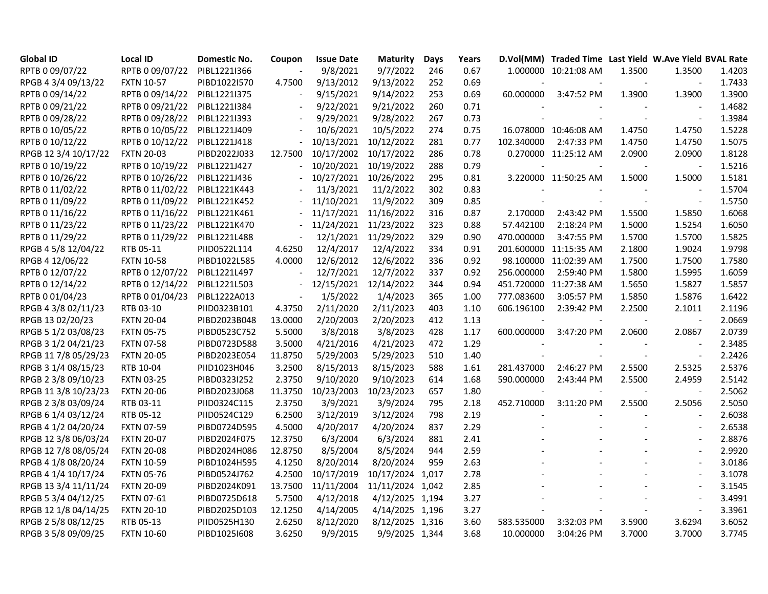| <b>Global ID</b>     | <b>Local ID</b>   | Domestic No. | Coupon  | <b>Issue Date</b> | <b>Maturity</b>  | <b>Days</b> | Years |            | D.Vol(MM) Traded Time Last Yield W.Ave Yield BVAL Rate |                |                          |        |
|----------------------|-------------------|--------------|---------|-------------------|------------------|-------------|-------|------------|--------------------------------------------------------|----------------|--------------------------|--------|
| RPTB 0 09/07/22      | RPTB 0 09/07/22   | PIBL1221I366 |         | 9/8/2021          | 9/7/2022         | 246         | 0.67  | 1.000000   | 10:21:08 AM                                            | 1.3500         | 1.3500                   | 1.4203 |
| RPGB 4 3/4 09/13/22  | <b>FXTN 10-57</b> | PIBD1022I570 | 4.7500  | 9/13/2012         | 9/13/2022        | 252         | 0.69  |            |                                                        |                | $\overline{\phantom{a}}$ | 1.7433 |
| RPTB 0 09/14/22      | RPTB 0 09/14/22   | PIBL1221I375 |         | 9/15/2021         | 9/14/2022        | 253         | 0.69  | 60.000000  | 3:47:52 PM                                             | 1.3900         | 1.3900                   | 1.3900 |
| RPTB 0 09/21/22      | RPTB 0 09/21/22   | PIBL1221I384 |         | 9/22/2021         | 9/21/2022        | 260         | 0.71  |            |                                                        |                |                          | 1.4682 |
| RPTB 0 09/28/22      | RPTB 0 09/28/22   | PIBL1221I393 |         | 9/29/2021         | 9/28/2022        | 267         | 0.73  |            |                                                        |                | $\overline{\phantom{a}}$ | 1.3984 |
| RPTB 0 10/05/22      | RPTB 0 10/05/22   | PIBL1221J409 |         | 10/6/2021         | 10/5/2022        | 274         | 0.75  |            | 16.078000 10:46:08 AM                                  | 1.4750         | 1.4750                   | 1.5228 |
| RPTB 0 10/12/22      | RPTB 0 10/12/22   | PIBL1221J418 |         | 10/13/2021        | 10/12/2022       | 281         | 0.77  | 102.340000 | 2:47:33 PM                                             | 1.4750         | 1.4750                   | 1.5075 |
| RPGB 12 3/4 10/17/22 | <b>FXTN 20-03</b> | PIBD2022J033 | 12.7500 | 10/17/2002        | 10/17/2022       | 286         | 0.78  |            | 0.270000 11:25:12 AM                                   | 2.0900         | 2.0900                   | 1.8128 |
| RPTB 0 10/19/22      | RPTB 0 10/19/22   | PIBL1221J427 |         | 10/20/2021        | 10/19/2022       | 288         | 0.79  |            |                                                        |                | $\sim$                   | 1.5216 |
| RPTB 0 10/26/22      | RPTB 0 10/26/22   | PIBL1221J436 |         | 10/27/2021        | 10/26/2022       | 295         | 0.81  |            | 3.220000 11:50:25 AM                                   | 1.5000         | 1.5000                   | 1.5181 |
| RPTB 0 11/02/22      | RPTB 0 11/02/22   | PIBL1221K443 |         | 11/3/2021         | 11/2/2022        | 302         | 0.83  |            |                                                        |                |                          | 1.5704 |
| RPTB 0 11/09/22      | RPTB 0 11/09/22   | PIBL1221K452 |         | 11/10/2021        | 11/9/2022        | 309         | 0.85  |            |                                                        |                | $\overline{\phantom{a}}$ | 1.5750 |
| RPTB 0 11/16/22      | RPTB 0 11/16/22   | PIBL1221K461 |         | 11/17/2021        | 11/16/2022       | 316         | 0.87  | 2.170000   | 2:43:42 PM                                             | 1.5500         | 1.5850                   | 1.6068 |
| RPTB 0 11/23/22      | RPTB 0 11/23/22   | PIBL1221K470 |         | 11/24/2021        | 11/23/2022       | 323         | 0.88  | 57.442100  | 2:18:24 PM                                             | 1.5000         | 1.5254                   | 1.6050 |
| RPTB 0 11/29/22      | RPTB 0 11/29/22   | PIBL1221L488 |         | 12/1/2021         | 11/29/2022       | 329         | 0.90  | 470.000000 | 3:47:55 PM                                             | 1.5700         | 1.5700                   | 1.5825 |
| RPGB 4 5/8 12/04/22  | RTB 05-11         | PIID0522L114 | 4.6250  | 12/4/2017         | 12/4/2022        | 334         | 0.91  |            | 201.600000 11:15:35 AM                                 | 2.1800         | 1.9024                   | 1.9798 |
| RPGB 4 12/06/22      | <b>FXTN 10-58</b> | PIBD1022L585 | 4.0000  | 12/6/2012         | 12/6/2022        | 336         | 0.92  |            | 98.100000 11:02:39 AM                                  | 1.7500         | 1.7500                   | 1.7580 |
| RPTB 0 12/07/22      | RPTB 0 12/07/22   | PIBL1221L497 |         | 12/7/2021         | 12/7/2022        | 337         | 0.92  | 256.000000 | 2:59:40 PM                                             | 1.5800         | 1.5995                   | 1.6059 |
| RPTB 0 12/14/22      | RPTB 0 12/14/22   | PIBL1221L503 |         | 12/15/2021        | 12/14/2022       | 344         | 0.94  |            | 451.720000 11:27:38 AM                                 | 1.5650         | 1.5827                   | 1.5857 |
| RPTB 0 01/04/23      | RPTB 0 01/04/23   | PIBL1222A013 |         | 1/5/2022          | 1/4/2023         | 365         | 1.00  | 777.083600 | 3:05:57 PM                                             | 1.5850         | 1.5876                   | 1.6422 |
| RPGB 4 3/8 02/11/23  | RTB 03-10         | PIID0323B101 | 4.3750  | 2/11/2020         | 2/11/2023        | 403         | 1.10  | 606.196100 | 2:39:42 PM                                             | 2.2500         | 2.1011                   | 2.1196 |
| RPGB 13 02/20/23     | <b>FXTN 20-04</b> | PIBD2023B048 | 13.0000 | 2/20/2003         | 2/20/2023        | 412         | 1.13  |            | $\sim$                                                 | $\sim$         | $\sim$                   | 2.0669 |
| RPGB 5 1/2 03/08/23  | <b>FXTN 05-75</b> | PIBD0523C752 | 5.5000  | 3/8/2018          | 3/8/2023         | 428         | 1.17  | 600.000000 | 3:47:20 PM                                             | 2.0600         | 2.0867                   | 2.0739 |
| RPGB 3 1/2 04/21/23  | <b>FXTN 07-58</b> | PIBD0723D588 | 3.5000  | 4/21/2016         | 4/21/2023        | 472         | 1.29  |            |                                                        |                |                          | 2.3485 |
| RPGB 11 7/8 05/29/23 | <b>FXTN 20-05</b> | PIBD2023E054 | 11.8750 | 5/29/2003         | 5/29/2023        | 510         | 1.40  |            |                                                        |                |                          | 2.2426 |
| RPGB 3 1/4 08/15/23  | RTB 10-04         | PIID1023H046 | 3.2500  | 8/15/2013         | 8/15/2023        | 588         | 1.61  | 281.437000 | 2:46:27 PM                                             | 2.5500         | 2.5325                   | 2.5376 |
| RPGB 2 3/8 09/10/23  | <b>FXTN 03-25</b> | PIBD0323I252 | 2.3750  | 9/10/2020         | 9/10/2023        | 614         | 1.68  | 590.000000 | 2:43:44 PM                                             | 2.5500         | 2.4959                   | 2.5142 |
| RPGB 11 3/8 10/23/23 | <b>FXTN 20-06</b> | PIBD2023J068 | 11.3750 | 10/23/2003        | 10/23/2023       | 657         | 1.80  |            |                                                        |                | $\overline{\phantom{a}}$ | 2.5062 |
| RPGB 2 3/8 03/09/24  | RTB 03-11         | PIID0324C115 | 2.3750  | 3/9/2021          | 3/9/2024         | 795         | 2.18  | 452.710000 | 3:11:20 PM                                             | 2.5500         | 2.5056                   | 2.5050 |
| RPGB 6 1/4 03/12/24  | RTB 05-12         | PIID0524C129 | 6.2500  | 3/12/2019         | 3/12/2024        | 798         | 2.19  |            |                                                        |                |                          | 2.6038 |
| RPGB 4 1/2 04/20/24  | <b>FXTN 07-59</b> | PIBD0724D595 | 4.5000  | 4/20/2017         | 4/20/2024        | 837         | 2.29  |            |                                                        |                |                          | 2.6538 |
| RPGB 12 3/8 06/03/24 | <b>FXTN 20-07</b> | PIBD2024F075 | 12.3750 | 6/3/2004          | 6/3/2024         | 881         | 2.41  |            |                                                        |                |                          | 2.8876 |
| RPGB 12 7/8 08/05/24 | <b>FXTN 20-08</b> | PIBD2024H086 | 12.8750 | 8/5/2004          | 8/5/2024         | 944         | 2.59  |            |                                                        |                |                          | 2.9920 |
| RPGB 4 1/8 08/20/24  | <b>FXTN 10-59</b> | PIBD1024H595 | 4.1250  | 8/20/2014         | 8/20/2024        | 959         | 2.63  |            |                                                        |                |                          | 3.0186 |
| RPGB 4 1/4 10/17/24  | <b>FXTN 05-76</b> | PIBD0524J762 | 4.2500  | 10/17/2019        | 10/17/2024 1,017 |             | 2.78  |            |                                                        |                |                          | 3.1078 |
| RPGB 13 3/4 11/11/24 | <b>FXTN 20-09</b> | PIBD2024K091 | 13.7500 | 11/11/2004        | 11/11/2024 1,042 |             | 2.85  |            |                                                        |                |                          | 3.1545 |
| RPGB 5 3/4 04/12/25  | <b>FXTN 07-61</b> | PIBD0725D618 | 5.7500  | 4/12/2018         | 4/12/2025 1,194  |             | 3.27  |            |                                                        |                |                          | 3.4991 |
| RPGB 12 1/8 04/14/25 | <b>FXTN 20-10</b> | PIBD2025D103 | 12.1250 | 4/14/2005         | 4/14/2025 1,196  |             | 3.27  |            |                                                        | $\blacksquare$ |                          | 3.3961 |
| RPGB 2 5/8 08/12/25  | RTB 05-13         | PIID0525H130 | 2.6250  | 8/12/2020         | 8/12/2025 1,316  |             | 3.60  | 583.535000 | 3:32:03 PM                                             | 3.5900         | 3.6294                   | 3.6052 |
| RPGB 3 5/8 09/09/25  | <b>FXTN 10-60</b> | PIBD1025I608 | 3.6250  | 9/9/2015          | 9/9/2025 1,344   |             | 3.68  | 10.000000  | 3:04:26 PM                                             | 3.7000         | 3.7000                   | 3.7745 |
|                      |                   |              |         |                   |                  |             |       |            |                                                        |                |                          |        |